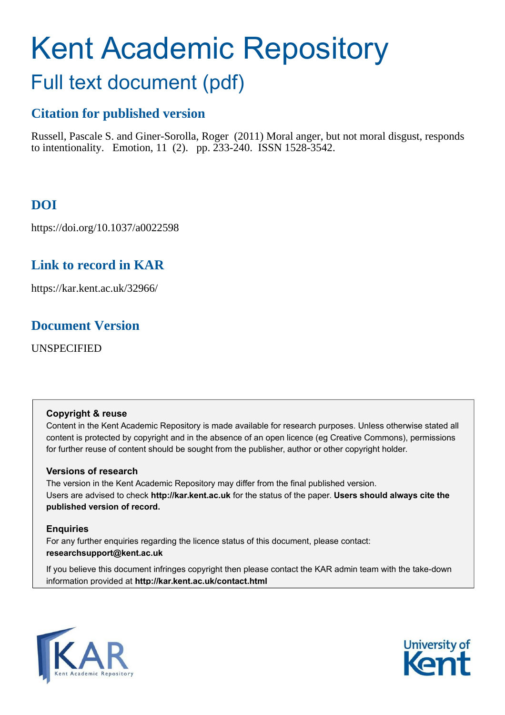# Kent Academic Repository

## Full text document (pdf)

## **Citation for published version**

Russell, Pascale S. and Giner-Sorolla, Roger (2011) Moral anger, but not moral disgust, responds to intentionality. Emotion, 11 (2). pp. 233-240. ISSN 1528-3542.

## **DOI**

https://doi.org/10.1037/a0022598

## **Link to record in KAR**

https://kar.kent.ac.uk/32966/

## **Document Version**

UNSPECIFIED

#### **Copyright & reuse**

Content in the Kent Academic Repository is made available for research purposes. Unless otherwise stated all content is protected by copyright and in the absence of an open licence (eg Creative Commons), permissions for further reuse of content should be sought from the publisher, author or other copyright holder.

#### **Versions of research**

The version in the Kent Academic Repository may differ from the final published version. Users are advised to check **http://kar.kent.ac.uk** for the status of the paper. **Users should always cite the published version of record.**

#### **Enquiries**

For any further enquiries regarding the licence status of this document, please contact: **researchsupport@kent.ac.uk**

If you believe this document infringes copyright then please contact the KAR admin team with the take-down information provided at **http://kar.kent.ac.uk/contact.html**



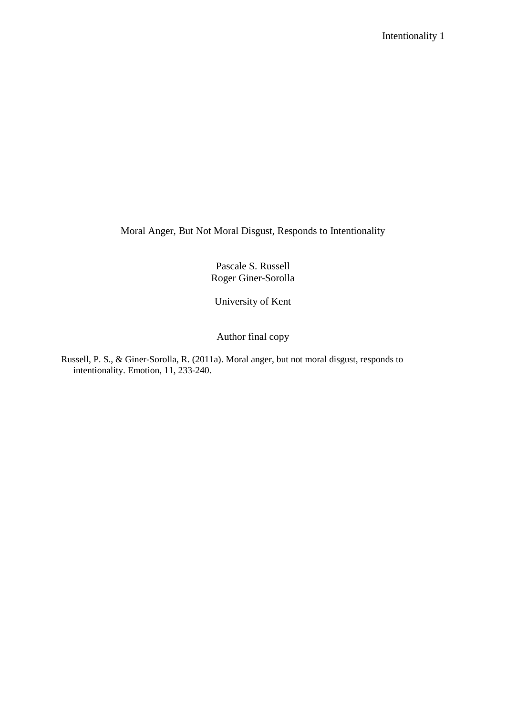Moral Anger, But Not Moral Disgust, Responds to Intentionality

Pascale S. Russell Roger Giner-Sorolla

University of Kent

Author final copy

Russell, P. S., & Giner-Sorolla, R. (2011a). Moral anger, but not moral disgust, responds to intentionality. Emotion, 11, 233-240.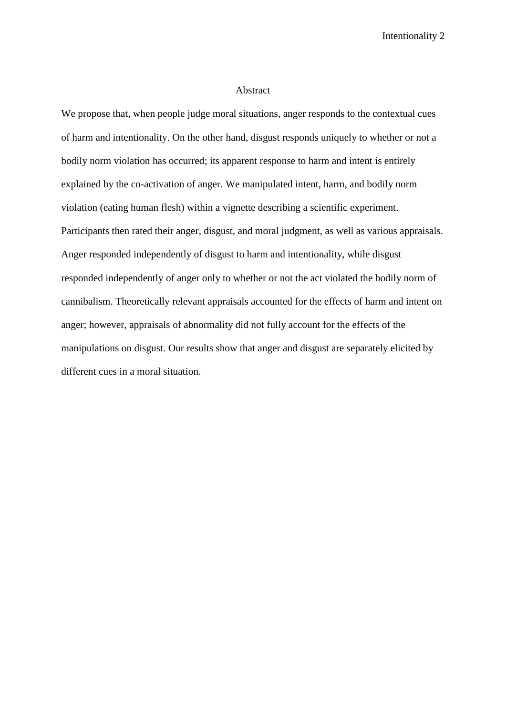#### Abstract

We propose that, when people judge moral situations, anger responds to the contextual cues of harm and intentionality. On the other hand, disgust responds uniquely to whether or not a bodily norm violation has occurred; its apparent response to harm and intent is entirely explained by the co-activation of anger. We manipulated intent, harm, and bodily norm violation (eating human flesh) within a vignette describing a scientific experiment. Participants then rated their anger, disgust, and moral judgment, as well as various appraisals. Anger responded independently of disgust to harm and intentionality, while disgust responded independently of anger only to whether or not the act violated the bodily norm of cannibalism. Theoretically relevant appraisals accounted for the effects of harm and intent on anger; however, appraisals of abnormality did not fully account for the effects of the manipulations on disgust. Our results show that anger and disgust are separately elicited by different cues in a moral situation.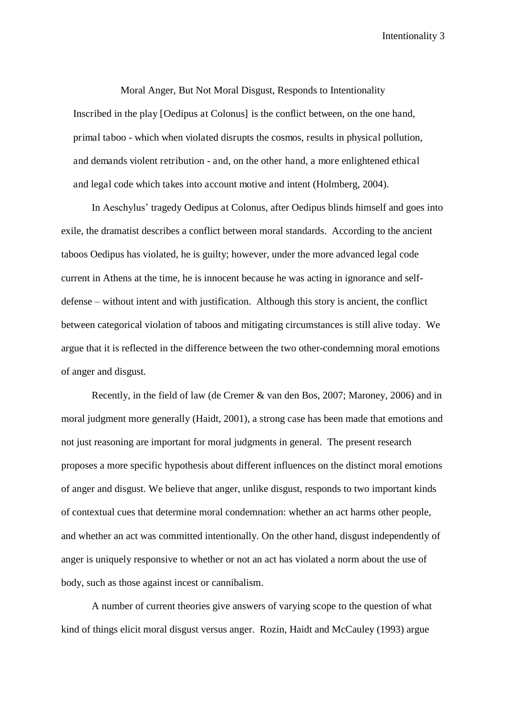Moral Anger, But Not Moral Disgust, Responds to Intentionality Inscribed in the play [Oedipus at Colonus] is the conflict between, on the one hand, primal taboo - which when violated disrupts the cosmos, results in physical pollution, and demands violent retribution - and, on the other hand, a more enlightened ethical and legal code which takes into account motive and intent (Holmberg, 2004).

In Aeschylus' tragedy Oedipus at Colonus, after Oedipus blinds himself and goes into exile, the dramatist describes a conflict between moral standards. According to the ancient taboos Oedipus has violated, he is guilty; however, under the more advanced legal code current in Athens at the time, he is innocent because he was acting in ignorance and selfdefense – without intent and with justification. Although this story is ancient, the conflict between categorical violation of taboos and mitigating circumstances is still alive today. We argue that it is reflected in the difference between the two other-condemning moral emotions of anger and disgust.

Recently, in the field of law (de Cremer & van den Bos, 2007; Maroney, 2006) and in moral judgment more generally (Haidt, 2001), a strong case has been made that emotions and not just reasoning are important for moral judgments in general. The present research proposes a more specific hypothesis about different influences on the distinct moral emotions of anger and disgust. We believe that anger, unlike disgust, responds to two important kinds of contextual cues that determine moral condemnation: whether an act harms other people, and whether an act was committed intentionally. On the other hand, disgust independently of anger is uniquely responsive to whether or not an act has violated a norm about the use of body, such as those against incest or cannibalism.

A number of current theories give answers of varying scope to the question of what kind of things elicit moral disgust versus anger. Rozin, Haidt and McCauley (1993) argue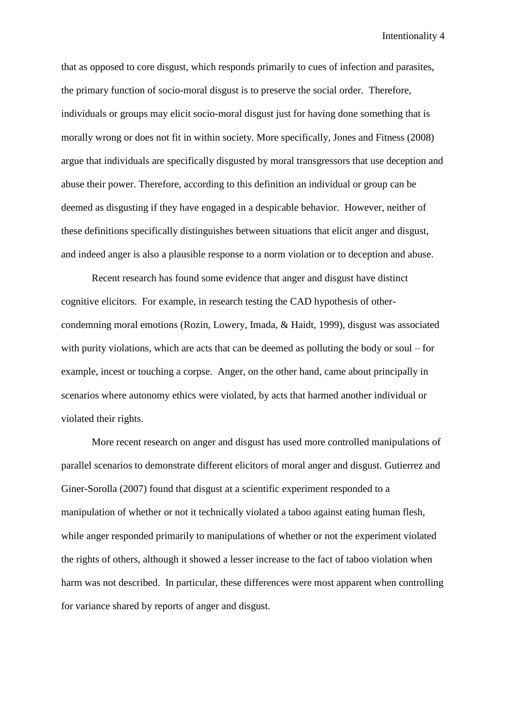that as opposed to core disgust, which responds primarily to cues of infection and parasites, the primary function of socio-moral disgust is to preserve the social order. Therefore, individuals or groups may elicit socio-moral disgust just for having done something that is morally wrong or does not fit in within society. More specifically, Jones and Fitness (2008) argue that individuals are specifically disgusted by moral transgressors that use deception and abuse their power. Therefore, according to this definition an individual or group can be deemed as disgusting if they have engaged in a despicable behavior. However, neither of these definitions specifically distinguishes between situations that elicit anger and disgust, and indeed anger is also a plausible response to a norm violation or to deception and abuse.

Recent research has found some evidence that anger and disgust have distinct cognitive elicitors. For example, in research testing the CAD hypothesis of othercondemning moral emotions (Rozin, Lowery, Imada, & Haidt, 1999), disgust was associated with purity violations, which are acts that can be deemed as polluting the body or soul – for example, incest or touching a corpse. Anger, on the other hand, came about principally in scenarios where autonomy ethics were violated, by acts that harmed another individual or violated their rights.

More recent research on anger and disgust has used more controlled manipulations of parallel scenarios to demonstrate different elicitors of moral anger and disgust. Gutierrez and Giner-Sorolla (2007) found that disgust at a scientific experiment responded to a manipulation of whether or not it technically violated a taboo against eating human flesh, while anger responded primarily to manipulations of whether or not the experiment violated the rights of others, although it showed a lesser increase to the fact of taboo violation when harm was not described. In particular, these differences were most apparent when controlling for variance shared by reports of anger and disgust.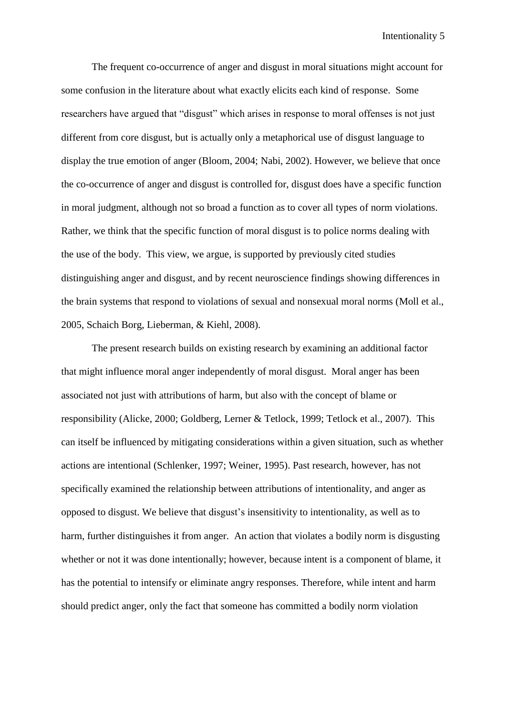The frequent co-occurrence of anger and disgust in moral situations might account for some confusion in the literature about what exactly elicits each kind of response. Some researchers have argued that "disgust" which arises in response to moral offenses is not just different from core disgust, but is actually only a metaphorical use of disgust language to display the true emotion of anger (Bloom, 2004; Nabi, 2002). However, we believe that once the co-occurrence of anger and disgust is controlled for, disgust does have a specific function in moral judgment, although not so broad a function as to cover all types of norm violations. Rather, we think that the specific function of moral disgust is to police norms dealing with the use of the body. This view, we argue, is supported by previously cited studies distinguishing anger and disgust, and by recent neuroscience findings showing differences in the brain systems that respond to violations of sexual and nonsexual moral norms (Moll et al., 2005, Schaich Borg, Lieberman, & Kiehl, 2008).

The present research builds on existing research by examining an additional factor that might influence moral anger independently of moral disgust. Moral anger has been associated not just with attributions of harm, but also with the concept of blame or responsibility (Alicke, 2000; Goldberg, Lerner & Tetlock, 1999; Tetlock et al., 2007). This can itself be influenced by mitigating considerations within a given situation, such as whether actions are intentional (Schlenker, 1997; Weiner, 1995). Past research, however, has not specifically examined the relationship between attributions of intentionality, and anger as opposed to disgust. We believe that disgust's insensitivity to intentionality, as well as to harm, further distinguishes it from anger. An action that violates a bodily norm is disgusting whether or not it was done intentionally; however, because intent is a component of blame, it has the potential to intensify or eliminate angry responses. Therefore, while intent and harm should predict anger, only the fact that someone has committed a bodily norm violation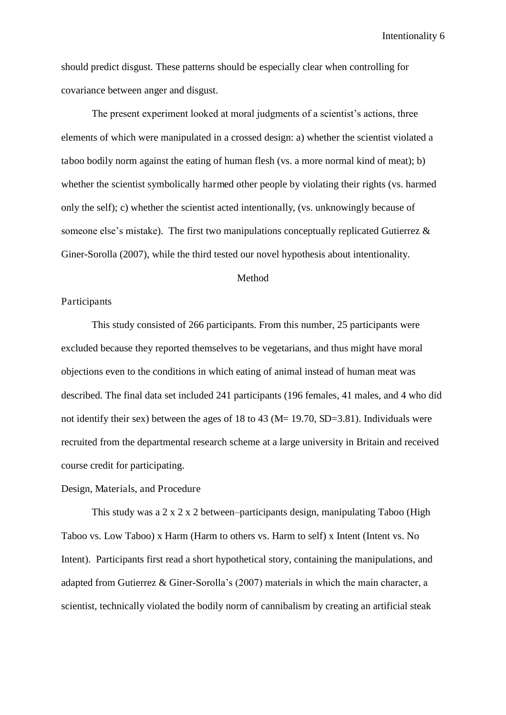should predict disgust. These patterns should be especially clear when controlling for covariance between anger and disgust.

The present experiment looked at moral judgments of a scientist's actions, three elements of which were manipulated in a crossed design: a) whether the scientist violated a taboo bodily norm against the eating of human flesh (vs. a more normal kind of meat); b) whether the scientist symbolically harmed other people by violating their rights (vs. harmed only the self); c) whether the scientist acted intentionally, (vs. unknowingly because of someone else's mistake). The first two manipulations conceptually replicated Gutierrez & Giner-Sorolla (2007), while the third tested our novel hypothesis about intentionality.

#### Method

#### Participants

This study consisted of 266 participants. From this number, 25 participants were excluded because they reported themselves to be vegetarians, and thus might have moral objections even to the conditions in which eating of animal instead of human meat was described. The final data set included 241 participants (196 females, 41 males, and 4 who did not identify their sex) between the ages of 18 to 43 (M= 19.70, SD=3.81). Individuals were recruited from the departmental research scheme at a large university in Britain and received course credit for participating.

#### Design, Materials, and Procedure

This study was a 2 x 2 x 2 between–participants design, manipulating Taboo (High Taboo vs. Low Taboo) x Harm (Harm to others vs. Harm to self) x Intent (Intent vs. No Intent). Participants first read a short hypothetical story, containing the manipulations, and adapted from Gutierrez & Giner-Sorolla's (2007) materials in which the main character, a scientist, technically violated the bodily norm of cannibalism by creating an artificial steak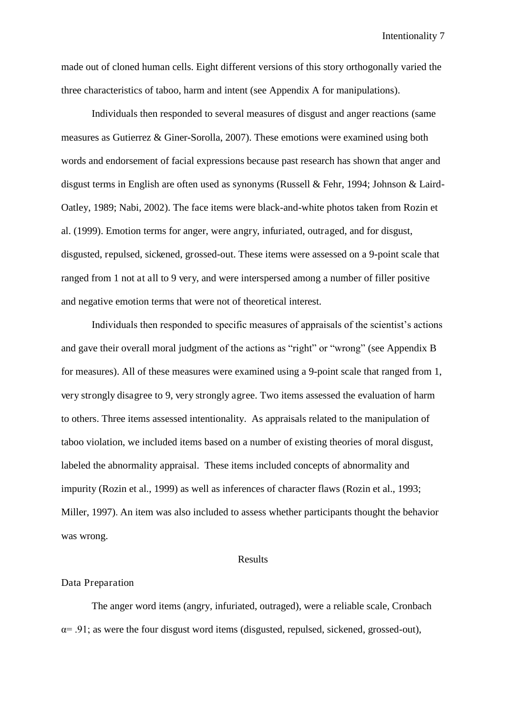made out of cloned human cells. Eight different versions of this story orthogonally varied the three characteristics of taboo, harm and intent (see Appendix A for manipulations).

Individuals then responded to several measures of disgust and anger reactions (same measures as Gutierrez & Giner-Sorolla, 2007). These emotions were examined using both words and endorsement of facial expressions because past research has shown that anger and disgust terms in English are often used as synonyms (Russell & Fehr, 1994; Johnson & Laird-Oatley, 1989; Nabi, 2002). The face items were black-and-white photos taken from Rozin et al. (1999). Emotion terms for anger, were angry, infuriated, outraged, and for disgust, disgusted, repulsed, sickened, grossed-out. These items were assessed on a 9-point scale that ranged from 1 not at all to 9 very, and were interspersed among a number of filler positive and negative emotion terms that were not of theoretical interest.

Individuals then responded to specific measures of appraisals of the scientist's actions and gave their overall moral judgment of the actions as "right" or "wrong" (see Appendix B for measures). All of these measures were examined using a 9-point scale that ranged from 1, very strongly disagree to 9, very strongly agree. Two items assessed the evaluation of harm to others. Three items assessed intentionality. As appraisals related to the manipulation of taboo violation, we included items based on a number of existing theories of moral disgust, labeled the abnormality appraisal. These items included concepts of abnormality and impurity (Rozin et al., 1999) as well as inferences of character flaws (Rozin et al., 1993; Miller, 1997). An item was also included to assess whether participants thought the behavior was wrong.

#### Results

#### Data Preparation

The anger word items (angry, infuriated, outraged), were a reliable scale, Cronbach  $\alpha$ = .91; as were the four disgust word items (disgusted, repulsed, sickened, grossed-out),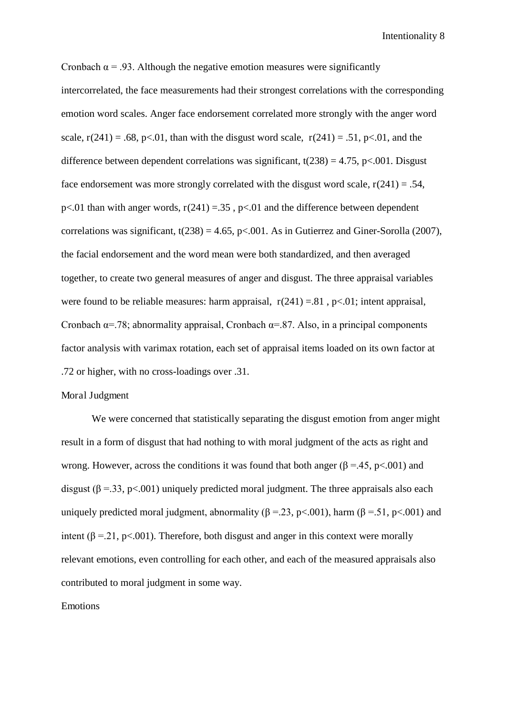Cronbach  $\alpha$  = .93. Although the negative emotion measures were significantly intercorrelated, the face measurements had their strongest correlations with the corresponding emotion word scales. Anger face endorsement correlated more strongly with the anger word scale,  $r(241) = .68$ ,  $p \le 01$ , than with the disgust word scale,  $r(241) = .51$ ,  $p \le 01$ , and the difference between dependent correlations was significant,  $t(238) = 4.75$ , p<.001. Disgust face endorsement was more strongly correlated with the disgust word scale,  $r(241) = .54$ , p<.01 than with anger words,  $r(241) = 0.35$ , p<.01 and the difference between dependent correlations was significant,  $t(238) = 4.65$ ,  $p<.001$ . As in Gutierrez and Giner-Sorolla (2007), the facial endorsement and the word mean were both standardized, and then averaged together, to create two general measures of anger and disgust. The three appraisal variables were found to be reliable measures: harm appraisal,  $r(241) = .81$ ,  $p<.01$ ; intent appraisal, Cronbach  $\alpha$ =.78; abnormality appraisal, Cronbach  $\alpha$ =.87. Also, in a principal components factor analysis with varimax rotation, each set of appraisal items loaded on its own factor at .72 or higher, with no cross-loadings over .31.

#### Moral Judgment

We were concerned that statistically separating the disgust emotion from anger might result in a form of disgust that had nothing to with moral judgment of the acts as right and wrong. However, across the conditions it was found that both anger ( $\beta = .45$ ,  $p < .001$ ) and disgust ( $\beta$  = 33, p<.001) uniquely predicted moral judgment. The three appraisals also each uniquely predicted moral judgment, abnormality ( $\beta = 23$ , p<.001), harm ( $\beta = 51$ , p<.001) and intent ( $\beta$  = 21, p<.001). Therefore, both disgust and anger in this context were morally relevant emotions, even controlling for each other, and each of the measured appraisals also contributed to moral judgment in some way.

#### Emotions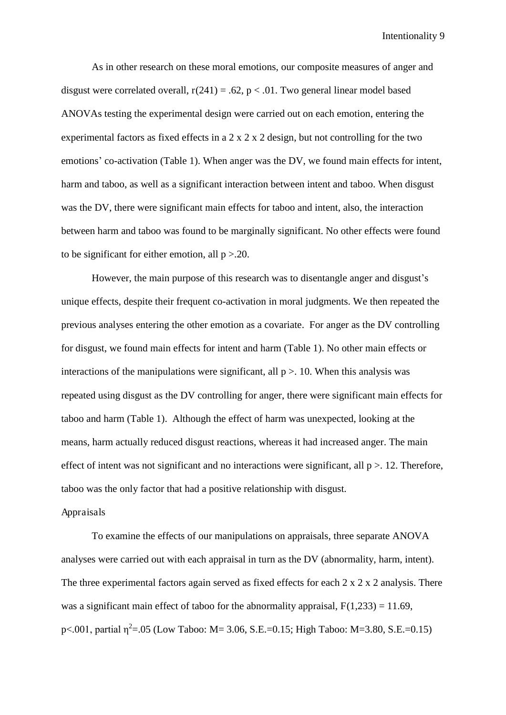As in other research on these moral emotions, our composite measures of anger and disgust were correlated overall,  $r(241) = .62$ ,  $p < .01$ . Two general linear model based ANOVAs testing the experimental design were carried out on each emotion, entering the experimental factors as fixed effects in a  $2 \times 2 \times 2$  design, but not controlling for the two emotions' co-activation (Table 1). When anger was the DV, we found main effects for intent, harm and taboo, as well as a significant interaction between intent and taboo. When disgust was the DV, there were significant main effects for taboo and intent, also, the interaction between harm and taboo was found to be marginally significant. No other effects were found to be significant for either emotion, all  $p > 0.20$ .

However, the main purpose of this research was to disentangle anger and disgust's unique effects, despite their frequent co-activation in moral judgments. We then repeated the previous analyses entering the other emotion as a covariate. For anger as the DV controlling for disgust, we found main effects for intent and harm (Table 1). No other main effects or interactions of the manipulations were significant, all  $p > 10$ . When this analysis was repeated using disgust as the DV controlling for anger, there were significant main effects for taboo and harm (Table 1). Although the effect of harm was unexpected, looking at the means, harm actually reduced disgust reactions, whereas it had increased anger. The main effect of intent was not significant and no interactions were significant, all  $p > 12$ . Therefore, taboo was the only factor that had a positive relationship with disgust.

#### Appraisals

To examine the effects of our manipulations on appraisals, three separate ANOVA analyses were carried out with each appraisal in turn as the DV (abnormality, harm, intent). The three experimental factors again served as fixed effects for each 2 x 2 x 2 analysis. There was a significant main effect of taboo for the abnormality appraisal,  $F(1,233) = 11.69$ , p<.001, partial  $\eta^2$ =.05 (Low Taboo: M= 3.06, S.E.=0.15; High Taboo: M=3.80, S.E.=0.15)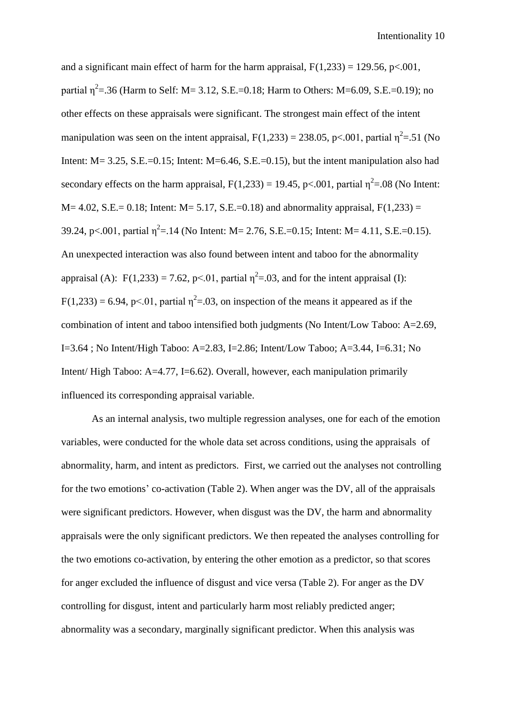and a significant main effect of harm for the harm appraisal,  $F(1,233) = 129.56$ , p<.001, partial  $\eta^2$ =.36 (Harm to Self: M= 3.12, S.E.=0.18; Harm to Others: M=6.09, S.E.=0.19); no other effects on these appraisals were significant. The strongest main effect of the intent manipulation was seen on the intent appraisal,  $F(1,233) = 238.05$ , p<.001, partial  $\eta^2 = .51$  (No Intent:  $M = 3.25$ , S.E.=0.15; Intent:  $M = 6.46$ , S.E.=0.15), but the intent manipulation also had secondary effects on the harm appraisal,  $F(1,233) = 19.45$ , p<.001, partial  $\eta^2 = .08$  (No Intent:  $M= 4.02$ , S.E. = 0.18; Intent:  $M= 5.17$ , S.E. = 0.18) and abnormality appraisal,  $F(1,233) =$ 39.24, p<.001, partial  $\eta^2$ =.14 (No Intent: M= 2.76, S.E.=0.15; Intent: M= 4.11, S.E.=0.15). An unexpected interaction was also found between intent and taboo for the abnormality appraisal (A):  $F(1,233) = 7.62$ , p<.01, partial  $\eta^2 = .03$ , and for the intent appraisal (I):  $F(1,233) = 6.94$ , p<.01, partial  $\eta^2 = .03$ , on inspection of the means it appeared as if the combination of intent and taboo intensified both judgments (No Intent/Low Taboo: A=2.69, I=3.64 ; No Intent/High Taboo: A=2.83, I=2.86; Intent/Low Taboo; A=3.44, I=6.31; No Intent/ High Taboo: A=4.77, I=6.62). Overall, however, each manipulation primarily influenced its corresponding appraisal variable.

 As an internal analysis, two multiple regression analyses, one for each of the emotion variables, were conducted for the whole data set across conditions, using the appraisals of abnormality, harm, and intent as predictors. First, we carried out the analyses not controlling for the two emotions' co-activation (Table 2). When anger was the DV, all of the appraisals were significant predictors. However, when disgust was the DV, the harm and abnormality appraisals were the only significant predictors. We then repeated the analyses controlling for the two emotions co-activation, by entering the other emotion as a predictor, so that scores for anger excluded the influence of disgust and vice versa (Table 2). For anger as the DV controlling for disgust, intent and particularly harm most reliably predicted anger; abnormality was a secondary, marginally significant predictor. When this analysis was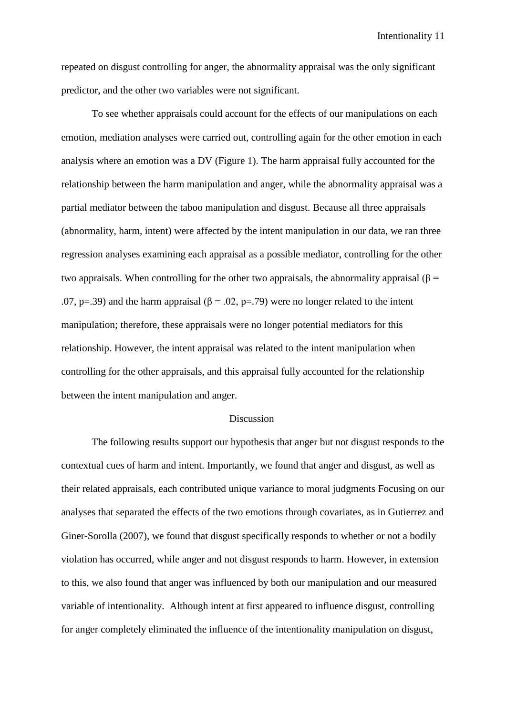repeated on disgust controlling for anger, the abnormality appraisal was the only significant predictor, and the other two variables were not significant.

To see whether appraisals could account for the effects of our manipulations on each emotion, mediation analyses were carried out, controlling again for the other emotion in each analysis where an emotion was a DV (Figure 1). The harm appraisal fully accounted for the relationship between the harm manipulation and anger, while the abnormality appraisal was a partial mediator between the taboo manipulation and disgust. Because all three appraisals (abnormality, harm, intent) were affected by the intent manipulation in our data, we ran three regression analyses examining each appraisal as a possible mediator, controlling for the other two appraisals. When controlling for the other two appraisals, the abnormality appraisal ( $\beta$  = .07, p=.39) and the harm appraisal ( $\beta$  = .02, p=.79) were no longer related to the intent manipulation; therefore, these appraisals were no longer potential mediators for this relationship. However, the intent appraisal was related to the intent manipulation when controlling for the other appraisals, and this appraisal fully accounted for the relationship between the intent manipulation and anger.

#### Discussion

The following results support our hypothesis that anger but not disgust responds to the contextual cues of harm and intent. Importantly, we found that anger and disgust, as well as their related appraisals, each contributed unique variance to moral judgments Focusing on our analyses that separated the effects of the two emotions through covariates, as in Gutierrez and Giner-Sorolla (2007), we found that disgust specifically responds to whether or not a bodily violation has occurred, while anger and not disgust responds to harm. However, in extension to this, we also found that anger was influenced by both our manipulation and our measured variable of intentionality. Although intent at first appeared to influence disgust, controlling for anger completely eliminated the influence of the intentionality manipulation on disgust,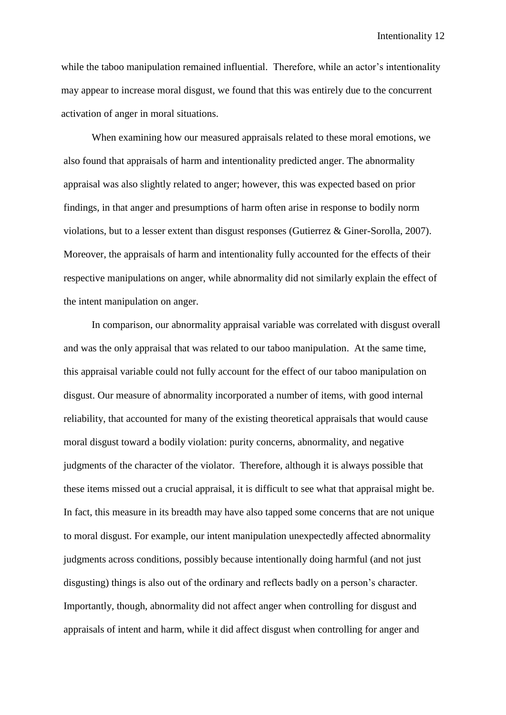while the taboo manipulation remained influential. Therefore, while an actor's intentionality may appear to increase moral disgust, we found that this was entirely due to the concurrent activation of anger in moral situations.

When examining how our measured appraisals related to these moral emotions, we also found that appraisals of harm and intentionality predicted anger. The abnormality appraisal was also slightly related to anger; however, this was expected based on prior findings, in that anger and presumptions of harm often arise in response to bodily norm violations, but to a lesser extent than disgust responses (Gutierrez & Giner-Sorolla, 2007). Moreover, the appraisals of harm and intentionality fully accounted for the effects of their respective manipulations on anger, while abnormality did not similarly explain the effect of the intent manipulation on anger.

In comparison, our abnormality appraisal variable was correlated with disgust overall and was the only appraisal that was related to our taboo manipulation. At the same time, this appraisal variable could not fully account for the effect of our taboo manipulation on disgust. Our measure of abnormality incorporated a number of items, with good internal reliability, that accounted for many of the existing theoretical appraisals that would cause moral disgust toward a bodily violation: purity concerns, abnormality, and negative judgments of the character of the violator. Therefore, although it is always possible that these items missed out a crucial appraisal, it is difficult to see what that appraisal might be. In fact, this measure in its breadth may have also tapped some concerns that are not unique to moral disgust. For example, our intent manipulation unexpectedly affected abnormality judgments across conditions, possibly because intentionally doing harmful (and not just disgusting) things is also out of the ordinary and reflects badly on a person's character. Importantly, though, abnormality did not affect anger when controlling for disgust and appraisals of intent and harm, while it did affect disgust when controlling for anger and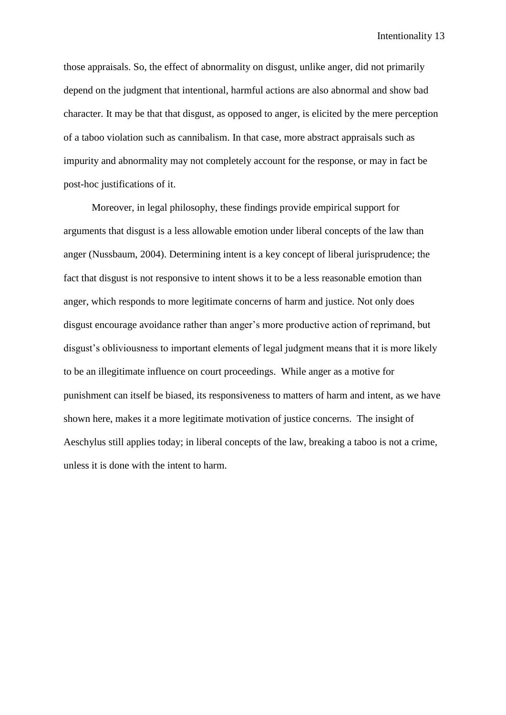those appraisals. So, the effect of abnormality on disgust, unlike anger, did not primarily depend on the judgment that intentional, harmful actions are also abnormal and show bad character. It may be that that disgust, as opposed to anger, is elicited by the mere perception of a taboo violation such as cannibalism. In that case, more abstract appraisals such as impurity and abnormality may not completely account for the response, or may in fact be post-hoc justifications of it.

Moreover, in legal philosophy, these findings provide empirical support for arguments that disgust is a less allowable emotion under liberal concepts of the law than anger (Nussbaum, 2004). Determining intent is a key concept of liberal jurisprudence; the fact that disgust is not responsive to intent shows it to be a less reasonable emotion than anger, which responds to more legitimate concerns of harm and justice. Not only does disgust encourage avoidance rather than anger's more productive action of reprimand, but disgust's obliviousness to important elements of legal judgment means that it is more likely to be an illegitimate influence on court proceedings. While anger as a motive for punishment can itself be biased, its responsiveness to matters of harm and intent, as we have shown here, makes it a more legitimate motivation of justice concerns. The insight of Aeschylus still applies today; in liberal concepts of the law, breaking a taboo is not a crime, unless it is done with the intent to harm.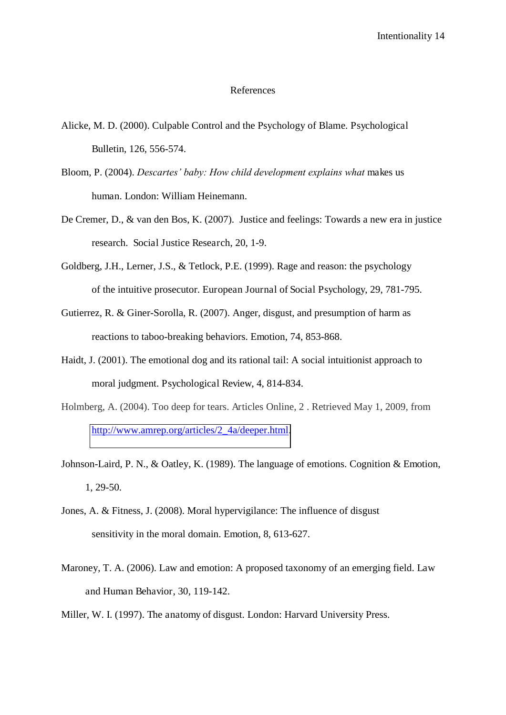#### References

- Alicke, M. D. (2000). Culpable Control and the Psychology of Blame. Psychological Bulletin, 126, 556-574.
- Bloom, P. (2004). *Descartes' baby: How child development explains what* makes us human. London: William Heinemann.
- De Cremer, D., & van den Bos, K. (2007). Justice and feelings: Towards a new era in justice research. Social Justice Research, 20, 1-9.
- Goldberg, J.H., Lerner, J.S., & Tetlock, P.E. (1999). Rage and reason: the psychology of the intuitive prosecutor. European Journal of Social Psychology, 29, 781-795.
- Gutierrez, R. & Giner-Sorolla, R. (2007). Anger, disgust, and presumption of harm as reactions to taboo-breaking behaviors. Emotion, 74, 853-868.
- Haidt, J. (2001). The emotional dog and its rational tail: A social intuitionist approach to moral judgment. Psychological Review, 4, 814-834.
- Holmberg, A. (2004). Too deep for tears. Articles Online, 2 . Retrieved May 1, 2009, from [http://www.amrep.org/articles/2\\_4a/deeper.html.](http://www.amrep.org/articles/2_4a/deeper.html)
- Johnson-Laird, P. N., & Oatley, K. (1989). The language of emotions. Cognition & Emotion, 1, 29-50.
- Jones, A. & Fitness, J. (2008). Moral hypervigilance: The influence of disgust sensitivity in the moral domain. Emotion, 8, 613-627.
- Maroney, T. A. (2006). Law and emotion: A proposed taxonomy of an emerging field. Law and Human Behavior, 30, 119-142.
- Miller, W. I. (1997). The anatomy of disgust. London: Harvard University Press.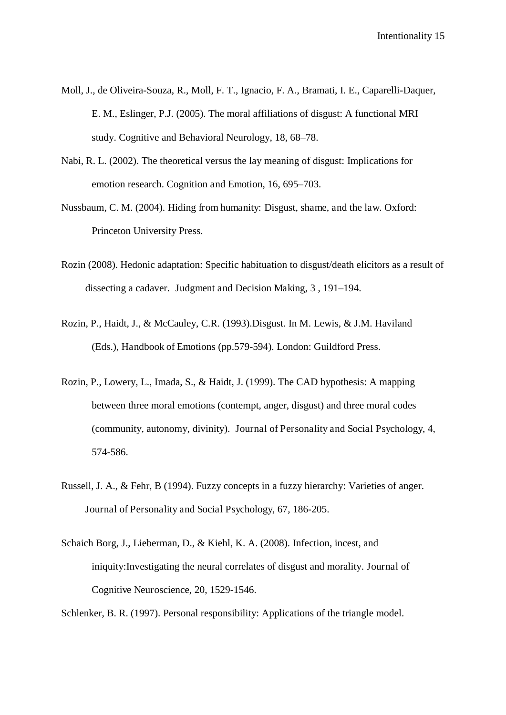- Moll, J., de Oliveira-Souza, R., Moll, F. T., Ignacio, F. A., Bramati, I. E., Caparelli-Daquer, E. M., Eslinger, P.J. (2005). The moral affiliations of disgust: A functional MRI study. Cognitive and Behavioral Neurology, 18, 68–78.
- Nabi, R. L. (2002). The theoretical versus the lay meaning of disgust: Implications for emotion research. Cognition and Emotion, 16, 695–703.
- Nussbaum, C. M. (2004). Hiding from humanity: Disgust, shame, and the law. Oxford: Princeton University Press.
- Rozin (2008). Hedonic adaptation: Specific habituation to disgust/death elicitors as a result of dissecting a cadaver. Judgment and Decision Making, 3 , 191–194.
- Rozin, P., Haidt, J., & McCauley, C.R. (1993).Disgust. In M. Lewis, & J.M. Haviland (Eds.), Handbook of Emotions (pp.579-594). London: Guildford Press.
- Rozin, P., Lowery, L., Imada, S., & Haidt, J. (1999). The CAD hypothesis: A mapping between three moral emotions (contempt, anger, disgust) and three moral codes (community, autonomy, divinity). Journal of Personality and Social Psychology, 4, 574-586.
- Russell, J. A., & Fehr, B (1994). Fuzzy concepts in a fuzzy hierarchy: Varieties of anger. Journal of Personality and Social Psychology, 67, 186-205.
- Schaich Borg, J., Lieberman, D., & Kiehl, K. A. (2008). Infection, incest, and iniquity:Investigating the neural correlates of disgust and morality. Journal of Cognitive Neuroscience, 20, 1529-1546.

Schlenker, B. R. (1997). Personal responsibility: Applications of the triangle model.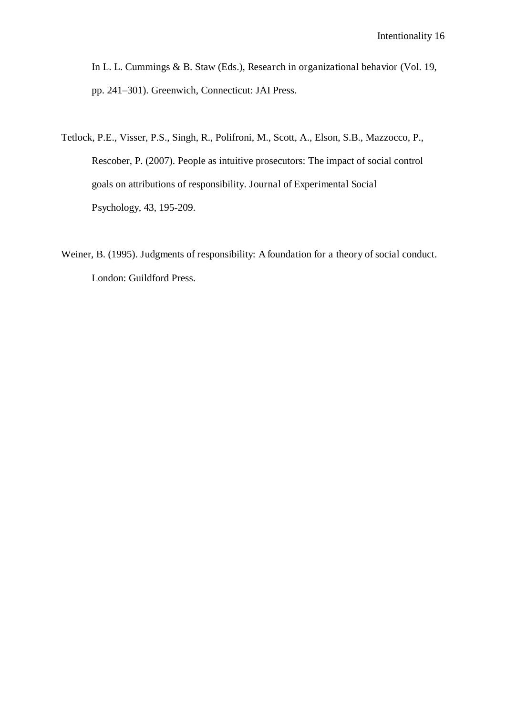In L. L. Cummings & B. Staw (Eds.), Research in organizational behavior (Vol. 19, pp. 241–301). Greenwich, Connecticut: JAI Press.

- Tetlock, P.E., Visser, P.S., Singh, R., Polifroni, M., Scott, A., Elson, S.B., Mazzocco, P., Rescober, P. (2007). People as intuitive prosecutors: The impact of social control goals on attributions of responsibility. Journal of Experimental Social Psychology, 43, 195-209.
- Weiner, B. (1995). Judgments of responsibility: A foundation for a theory of social conduct. London: Guildford Press.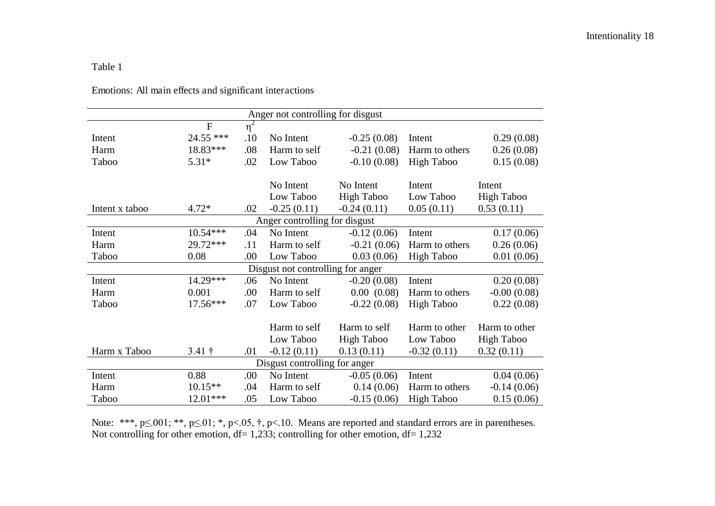#### Table 1

| Anger not controlling for disgust |                         |          |               |                   |                   |                   |  |  |  |
|-----------------------------------|-------------------------|----------|---------------|-------------------|-------------------|-------------------|--|--|--|
|                                   | $\mathbf F$             | $\eta^2$ |               |                   |                   |                   |  |  |  |
| Intent                            | 24.55 ***               | .10      | No Intent     | $-0.25(0.08)$     | Intent            | 0.29(0.08)        |  |  |  |
| Harm                              | 18.83***                | .08      | Harm to self  | $-0.21(0.08)$     | Harm to others    | 0.26(0.08)        |  |  |  |
| Taboo                             | $5.31*$                 | .02      | Low Taboo     | $-0.10(0.08)$     | <b>High Taboo</b> | 0.15(0.08)        |  |  |  |
|                                   |                         |          |               |                   |                   |                   |  |  |  |
|                                   |                         |          | No Intent     | No Intent         | Intent            | Intent            |  |  |  |
|                                   |                         |          | Low Taboo     | <b>High Taboo</b> | Low Taboo         | <b>High Taboo</b> |  |  |  |
| Intent x taboo                    | $4.72*$                 | .02      | $-0.25(0.11)$ | $-0.24(0.11)$     | 0.05(0.11)        | 0.53(0.11)        |  |  |  |
| Anger controlling for disgust     |                         |          |               |                   |                   |                   |  |  |  |
| Intent                            | $10.54***$              | .04      | No Intent     | $-0.12(0.06)$     | Intent            | 0.17(0.06)        |  |  |  |
| Harm                              | 29.72***                | .11      | Harm to self  | $-0.21(0.06)$     | Harm to others    | 0.26(0.06)        |  |  |  |
| Taboo                             | 0.08                    | .00      | Low Taboo     | 0.03(0.06)        | <b>High Taboo</b> | 0.01(0.06)        |  |  |  |
| Disgust not controlling for anger |                         |          |               |                   |                   |                   |  |  |  |
| Intent                            | 14.29***                | .06      | No Intent     | $-0.20(0.08)$     | Intent            | 0.20(0.08)        |  |  |  |
| Harm                              | 0.001                   | .00      | Harm to self  | 0.00(0.08)        | Harm to others    | $-0.00(0.08)$     |  |  |  |
| Taboo                             | 17.56***                | .07      | Low Taboo     | $-0.22(0.08)$     | <b>High Taboo</b> | 0.22(0.08)        |  |  |  |
|                                   |                         |          |               |                   |                   |                   |  |  |  |
|                                   |                         |          | Harm to self  | Harm to self      | Harm to other     | Harm to other     |  |  |  |
|                                   |                         |          | Low Taboo     | <b>High Taboo</b> | Low Taboo         | <b>High Taboo</b> |  |  |  |
| Harm x Taboo                      | $3.41 \;{\rm \ddagger}$ | .01      | $-0.12(0.11)$ | 0.13(0.11)        | $-0.32(0.11)$     | 0.32(0.11)        |  |  |  |
| Disgust controlling for anger     |                         |          |               |                   |                   |                   |  |  |  |
| Intent                            | 0.88                    | .00.     | No Intent     | $-0.05(0.06)$     | Intent            | 0.04(0.06)        |  |  |  |
| Harm                              | $10.15**$               | .04      | Harm to self  | 0.14(0.06)        | Harm to others    | $-0.14(0.06)$     |  |  |  |
| Taboo                             | 12.01***                | .05      | Low Taboo     | $-0.15(0.06)$     | <b>High Taboo</b> | 0.15(0.06)        |  |  |  |

Emotions: All main effects and significant interactions

Note: \*\*\*,  $p \le 001$ ; \*\*,  $p \le 01$ ; \*,  $p < 05$ ,  $\dagger$ ,  $p < 10$ . Means are reported and standard errors are in parentheses. Not controlling for other emotion,  $df = 1,233$ ; controlling for other emotion,  $df = 1,232$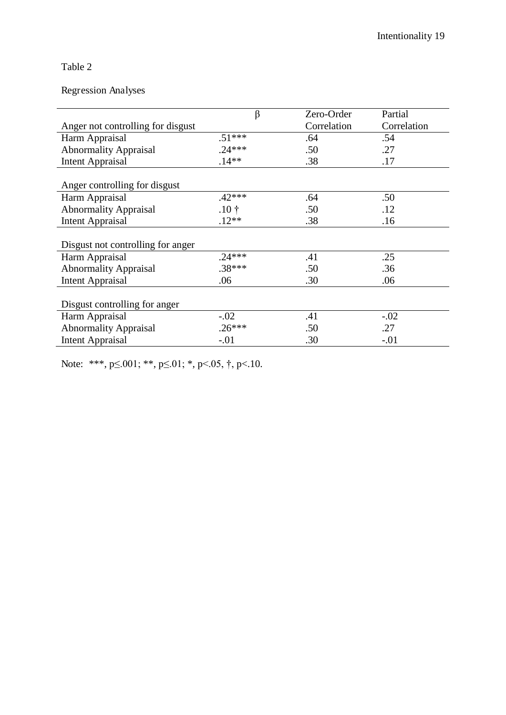## Table 2

### Regression Analyses

|                                   | β               | Zero-Order  | Partial     |  |  |
|-----------------------------------|-----------------|-------------|-------------|--|--|
| Anger not controlling for disgust |                 | Correlation | Correlation |  |  |
| Harm Appraisal                    | $.51***$        | .64         | .54         |  |  |
| <b>Abnormality Appraisal</b>      | $.24***$        | .50         | .27         |  |  |
| <b>Intent Appraisal</b>           | $.14**$         | .38         | .17         |  |  |
|                                   |                 |             |             |  |  |
| Anger controlling for disgust     |                 |             |             |  |  |
| Harm Appraisal                    | $.42***$        | .64         | .50         |  |  |
| <b>Abnormality Appraisal</b>      | $.10 \;{\rm t}$ | .50         | .12         |  |  |
| <b>Intent Appraisal</b>           | $.12**$         | .38         | .16         |  |  |
|                                   |                 |             |             |  |  |
| Disgust not controlling for anger |                 |             |             |  |  |
| Harm Appraisal                    | $.24***$        | .41         | .25         |  |  |
| <b>Abnormality Appraisal</b>      | $.38***$        | .50         | .36         |  |  |
| <b>Intent Appraisal</b>           | .06             | .30         | .06         |  |  |
|                                   |                 |             |             |  |  |
| Disgust controlling for anger     |                 |             |             |  |  |
| Harm Appraisal                    | $-.02$          | .41         | $-.02$      |  |  |
| <b>Abnormality Appraisal</b>      | $.26***$        | .50         | .27         |  |  |
| <b>Intent Appraisal</b>           | $-.01$          | .30         | $-.01$      |  |  |

Note: \*\*\*, p≤.001; \*\*, p≤.01; \*, p<.05, †, p<.10.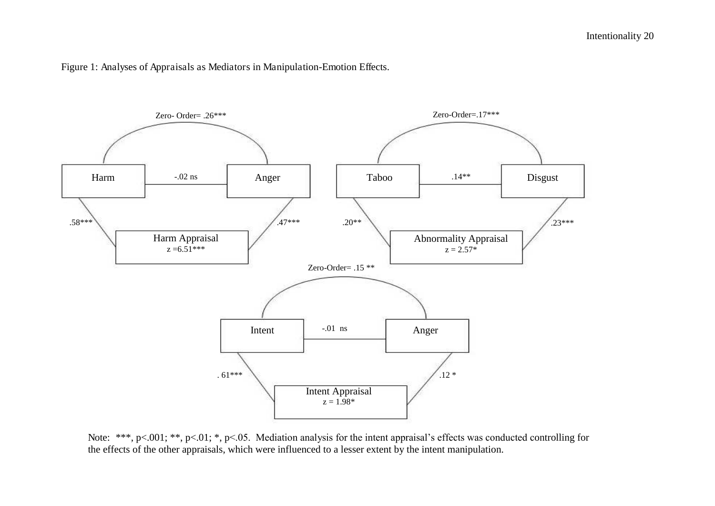Figure 1: Analyses of Appraisals as Mediators in Manipulation-Emotion Effects.



Note: \*\*\*, p<.001; \*\*, p<.01; \*, p<.05. Mediation analysis for the intent appraisal's effects was conducted controlling for the effects of the other appraisals, which were influenced to a lesser extent by the intent manipulation.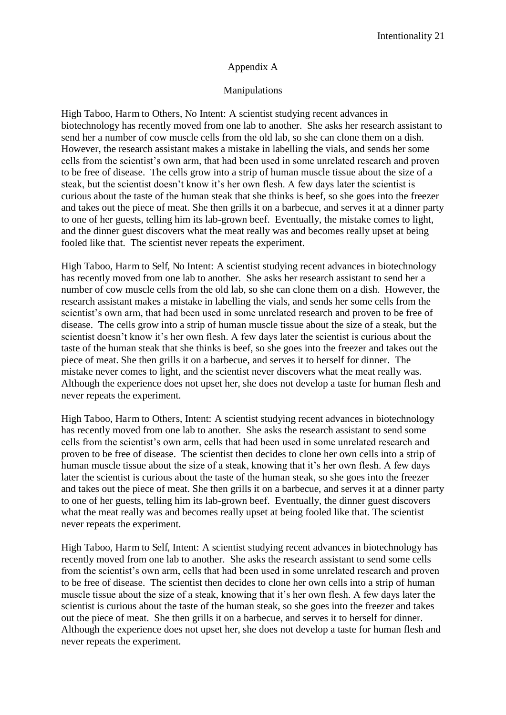#### Appendix A

#### Manipulations

High Taboo, Harm to Others, No Intent: A scientist studying recent advances in biotechnology has recently moved from one lab to another. She asks her research assistant to send her a number of cow muscle cells from the old lab, so she can clone them on a dish. However, the research assistant makes a mistake in labelling the vials, and sends her some cells from the scientist's own arm, that had been used in some unrelated research and proven to be free of disease. The cells grow into a strip of human muscle tissue about the size of a steak, but the scientist doesn't know it's her own flesh. A few days later the scientist is curious about the taste of the human steak that she thinks is beef, so she goes into the freezer and takes out the piece of meat. She then grills it on a barbecue, and serves it at a dinner party to one of her guests, telling him its lab-grown beef. Eventually, the mistake comes to light, and the dinner guest discovers what the meat really was and becomes really upset at being fooled like that. The scientist never repeats the experiment.

High Taboo, Harm to Self, No Intent: A scientist studying recent advances in biotechnology has recently moved from one lab to another. She asks her research assistant to send her a number of cow muscle cells from the old lab, so she can clone them on a dish. However, the research assistant makes a mistake in labelling the vials, and sends her some cells from the scientist's own arm, that had been used in some unrelated research and proven to be free of disease. The cells grow into a strip of human muscle tissue about the size of a steak, but the scientist doesn't know it's her own flesh. A few days later the scientist is curious about the taste of the human steak that she thinks is beef, so she goes into the freezer and takes out the piece of meat. She then grills it on a barbecue, and serves it to herself for dinner. The mistake never comes to light, and the scientist never discovers what the meat really was. Although the experience does not upset her, she does not develop a taste for human flesh and never repeats the experiment.

High Taboo, Harm to Others, Intent: A scientist studying recent advances in biotechnology has recently moved from one lab to another. She asks the research assistant to send some cells from the scientist's own arm, cells that had been used in some unrelated research and proven to be free of disease. The scientist then decides to clone her own cells into a strip of human muscle tissue about the size of a steak, knowing that it's her own flesh. A few days later the scientist is curious about the taste of the human steak, so she goes into the freezer and takes out the piece of meat. She then grills it on a barbecue, and serves it at a dinner party to one of her guests, telling him its lab-grown beef. Eventually, the dinner guest discovers what the meat really was and becomes really upset at being fooled like that. The scientist never repeats the experiment.

High Taboo, Harm to Self, Intent: A scientist studying recent advances in biotechnology has recently moved from one lab to another. She asks the research assistant to send some cells from the scientist's own arm, cells that had been used in some unrelated research and proven to be free of disease. The scientist then decides to clone her own cells into a strip of human muscle tissue about the size of a steak, knowing that it's her own flesh. A few days later the scientist is curious about the taste of the human steak, so she goes into the freezer and takes out the piece of meat. She then grills it on a barbecue, and serves it to herself for dinner. Although the experience does not upset her, she does not develop a taste for human flesh and never repeats the experiment.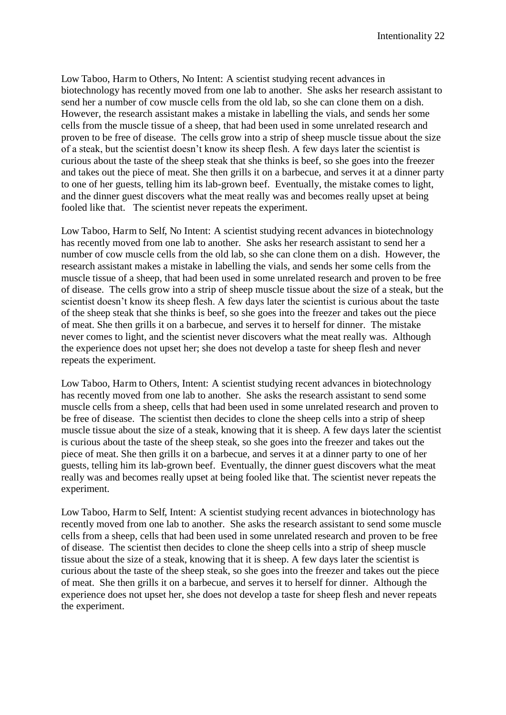Low Taboo, Harm to Others, No Intent: A scientist studying recent advances in biotechnology has recently moved from one lab to another. She asks her research assistant to send her a number of cow muscle cells from the old lab, so she can clone them on a dish. However, the research assistant makes a mistake in labelling the vials, and sends her some cells from the muscle tissue of a sheep, that had been used in some unrelated research and proven to be free of disease. The cells grow into a strip of sheep muscle tissue about the size of a steak, but the scientist doesn't know its sheep flesh. A few days later the scientist is curious about the taste of the sheep steak that she thinks is beef, so she goes into the freezer and takes out the piece of meat. She then grills it on a barbecue, and serves it at a dinner party to one of her guests, telling him its lab-grown beef. Eventually, the mistake comes to light, and the dinner guest discovers what the meat really was and becomes really upset at being fooled like that. The scientist never repeats the experiment.

Low Taboo, Harm to Self, No Intent: A scientist studying recent advances in biotechnology has recently moved from one lab to another. She asks her research assistant to send her a number of cow muscle cells from the old lab, so she can clone them on a dish. However, the research assistant makes a mistake in labelling the vials, and sends her some cells from the muscle tissue of a sheep, that had been used in some unrelated research and proven to be free of disease. The cells grow into a strip of sheep muscle tissue about the size of a steak, but the scientist doesn't know its sheep flesh. A few days later the scientist is curious about the taste of the sheep steak that she thinks is beef, so she goes into the freezer and takes out the piece of meat. She then grills it on a barbecue, and serves it to herself for dinner. The mistake never comes to light, and the scientist never discovers what the meat really was. Although the experience does not upset her; she does not develop a taste for sheep flesh and never repeats the experiment.

Low Taboo, Harm to Others, Intent: A scientist studying recent advances in biotechnology has recently moved from one lab to another. She asks the research assistant to send some muscle cells from a sheep, cells that had been used in some unrelated research and proven to be free of disease. The scientist then decides to clone the sheep cells into a strip of sheep muscle tissue about the size of a steak, knowing that it is sheep. A few days later the scientist is curious about the taste of the sheep steak, so she goes into the freezer and takes out the piece of meat. She then grills it on a barbecue, and serves it at a dinner party to one of her guests, telling him its lab-grown beef. Eventually, the dinner guest discovers what the meat really was and becomes really upset at being fooled like that. The scientist never repeats the experiment.

Low Taboo, Harm to Self, Intent: A scientist studying recent advances in biotechnology has recently moved from one lab to another. She asks the research assistant to send some muscle cells from a sheep, cells that had been used in some unrelated research and proven to be free of disease. The scientist then decides to clone the sheep cells into a strip of sheep muscle tissue about the size of a steak, knowing that it is sheep. A few days later the scientist is curious about the taste of the sheep steak, so she goes into the freezer and takes out the piece of meat. She then grills it on a barbecue, and serves it to herself for dinner. Although the experience does not upset her, she does not develop a taste for sheep flesh and never repeats the experiment.